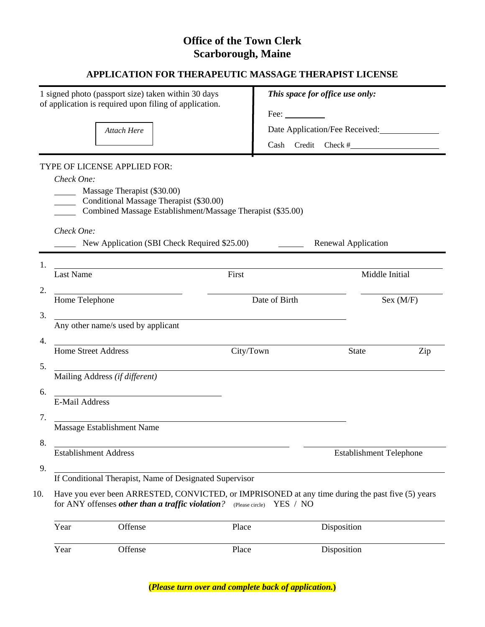# **Office of the Town Clerk Scarborough, Maine**

## **APPLICATION FOR THERAPEUTIC MASSAGE THERAPIST LICENSE**

|     |                                                                                                                                        | 1 signed photo (passport size) taken within 30 days<br>of application is required upon filing of application.                        |           | This space for office use only:                                                                  |                     |           |  |
|-----|----------------------------------------------------------------------------------------------------------------------------------------|--------------------------------------------------------------------------------------------------------------------------------------|-----------|--------------------------------------------------------------------------------------------------|---------------------|-----------|--|
|     |                                                                                                                                        |                                                                                                                                      |           | Fee:                                                                                             |                     |           |  |
|     |                                                                                                                                        | Attach Here                                                                                                                          |           | Date Application/Fee Received:                                                                   |                     |           |  |
|     |                                                                                                                                        |                                                                                                                                      |           |                                                                                                  |                     |           |  |
|     |                                                                                                                                        | TYPE OF LICENSE APPLIED FOR:                                                                                                         |           |                                                                                                  |                     |           |  |
|     | Check One:                                                                                                                             |                                                                                                                                      |           |                                                                                                  |                     |           |  |
|     |                                                                                                                                        | Massage Therapist (\$30.00)<br>Conditional Massage Therapist (\$30.00)<br>Combined Massage Establishment/Massage Therapist (\$35.00) |           |                                                                                                  |                     |           |  |
|     |                                                                                                                                        |                                                                                                                                      |           |                                                                                                  |                     |           |  |
|     | Check One:                                                                                                                             | New Application (SBI Check Required \$25.00)                                                                                         |           |                                                                                                  | Renewal Application |           |  |
| 1.  |                                                                                                                                        | <u> 1989 - Johann Stein, fransk politik (d. 1989)</u>                                                                                |           |                                                                                                  |                     |           |  |
|     | <b>Last Name</b>                                                                                                                       |                                                                                                                                      | First     |                                                                                                  | Middle Initial      |           |  |
| 2.  | <u> 1980 - Andrea Station Barbara, politik eta provincia eta provincia eta provincia eta provincia eta provincia</u><br>Home Telephone |                                                                                                                                      |           | Date of Birth                                                                                    |                     | Sex (M/F) |  |
| 3.  |                                                                                                                                        |                                                                                                                                      |           |                                                                                                  |                     |           |  |
|     |                                                                                                                                        | Any other name/s used by applicant                                                                                                   |           |                                                                                                  |                     |           |  |
| 4.  | <b>Home Street Address</b>                                                                                                             | <u> 1980 - Johann Barbara, martxa amerikan personal (</u>                                                                            | City/Town |                                                                                                  | <b>State</b>        | Zip       |  |
| 5.  |                                                                                                                                        |                                                                                                                                      |           |                                                                                                  |                     |           |  |
|     | Mailing Address (if different)                                                                                                         |                                                                                                                                      |           |                                                                                                  |                     |           |  |
| 6.  |                                                                                                                                        | <u> 1989 - Johann Stein, marwolaethau a bh</u>                                                                                       |           |                                                                                                  |                     |           |  |
|     | <b>E-Mail Address</b>                                                                                                                  |                                                                                                                                      |           |                                                                                                  |                     |           |  |
| 7.  |                                                                                                                                        | Massage Establishment Name                                                                                                           |           |                                                                                                  |                     |           |  |
| 8.  |                                                                                                                                        |                                                                                                                                      |           |                                                                                                  |                     |           |  |
|     | <b>Establishment Address</b>                                                                                                           |                                                                                                                                      |           | <b>Establishment Telephone</b>                                                                   |                     |           |  |
| 9.  |                                                                                                                                        | If Conditional Therapist, Name of Designated Supervisor                                                                              |           |                                                                                                  |                     |           |  |
|     |                                                                                                                                        |                                                                                                                                      |           |                                                                                                  |                     |           |  |
| 10. |                                                                                                                                        | for ANY offenses other than a traffic violation? (Please circle) YES / NO                                                            |           | Have you ever been ARRESTED, CONVICTED, or IMPRISONED at any time during the past five (5) years |                     |           |  |
|     | Year                                                                                                                                   | Offense                                                                                                                              | Place     |                                                                                                  | Disposition         |           |  |
|     | Year                                                                                                                                   | Offense                                                                                                                              | Place     |                                                                                                  | Disposition         |           |  |

**(***Please turn over and complete back of application.***)**